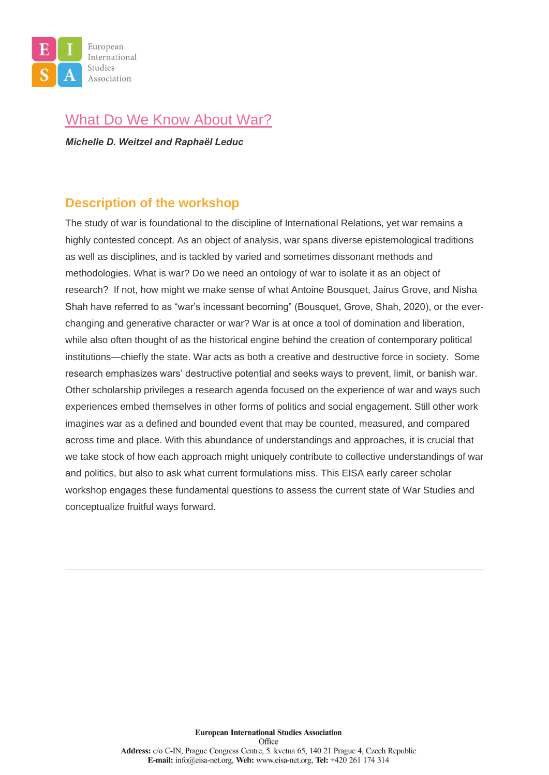

## [What Do We Know About War?](https://eisa-net.org/wp-content/uploads/2021/08/ECRW-3_Weitzel-and-Leduc-What-do-we-Know-about-War.pdf)

*Michelle D. Weitzel and Raphaël Leduc*

#### **Description of the workshop**

The study of war is foundational to the discipline of International Relations, yet war remains a highly contested concept. As an object of analysis, war spans diverse epistemological traditions as well as disciplines, and is tackled by varied and sometimes dissonant methods and methodologies. What is war? Do we need an ontology of war to isolate it as an object of research? If not, how might we make sense of what Antoine Bousquet, Jairus Grove, and Nisha Shah have referred to as "war's incessant becoming" (Bousquet, Grove, Shah, 2020), or the everchanging and generative character or war? War is at once a tool of domination and liberation, while also often thought of as the historical engine behind the creation of contemporary political institutions—chiefly the state. War acts as both a creative and destructive force in society. Some research emphasizes wars' destructive potential and seeks ways to prevent, limit, or banish war. Other scholarship privileges a research agenda focused on the experience of war and ways such experiences embed themselves in other forms of politics and social engagement. Still other work imagines war as a defined and bounded event that may be counted, measured, and compared across time and place. With this abundance of understandings and approaches, it is crucial that we take stock of how each approach might uniquely contribute to collective understandings of war and politics, but also to ask what current formulations miss. This EISA early career scholar workshop engages these fundamental questions to assess the current state of War Studies and conceptualize fruitful ways forward.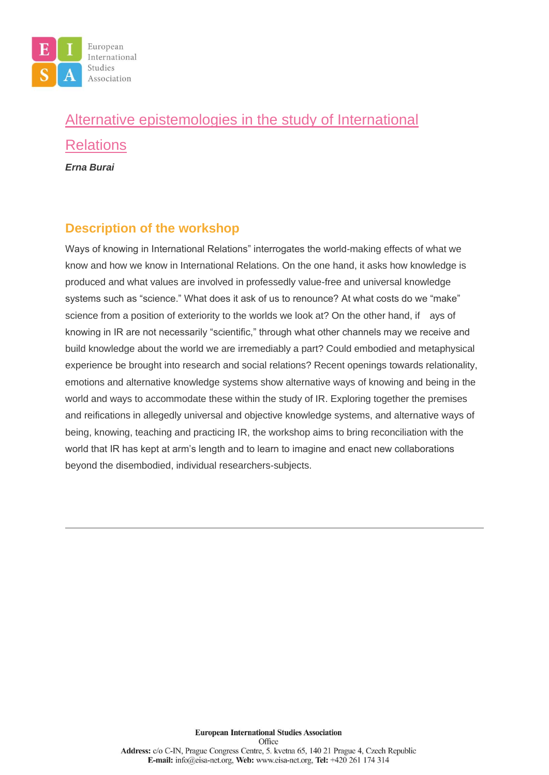

# [Alternative epistemologies in the study of International](https://eisa-net.org/wp-content/uploads/2021/08/ECRW-2_EISA_Early-career-workshop-proposal_Alternative-epistemologies.docx)  [Relations](https://eisa-net.org/wp-content/uploads/2021/08/ECRW-2_EISA_Early-career-workshop-proposal_Alternative-epistemologies.docx) *Erna Burai*

#### **Description of the workshop**

Ways of knowing in International Relations" interrogates the world-making effects of what we know and how we know in International Relations. On the one hand, it asks how knowledge is produced and what values are involved in professedly value-free and universal knowledge systems such as "science." What does it ask of us to renounce? At what costs do we "make" science from a position of exteriority to the worlds we look at? On the other hand, if ays of knowing in IR are not necessarily "scientific," through what other channels may we receive and build knowledge about the world we are irremediably a part? Could embodied and metaphysical experience be brought into research and social relations? Recent openings towards relationality, emotions and alternative knowledge systems show alternative ways of knowing and being in the world and ways to accommodate these within the study of IR. Exploring together the premises and reifications in allegedly universal and objective knowledge systems, and alternative ways of being, knowing, teaching and practicing IR, the workshop aims to bring reconciliation with the world that IR has kept at arm's length and to learn to imagine and enact new collaborations beyond the disembodied, individual researchers-subjects.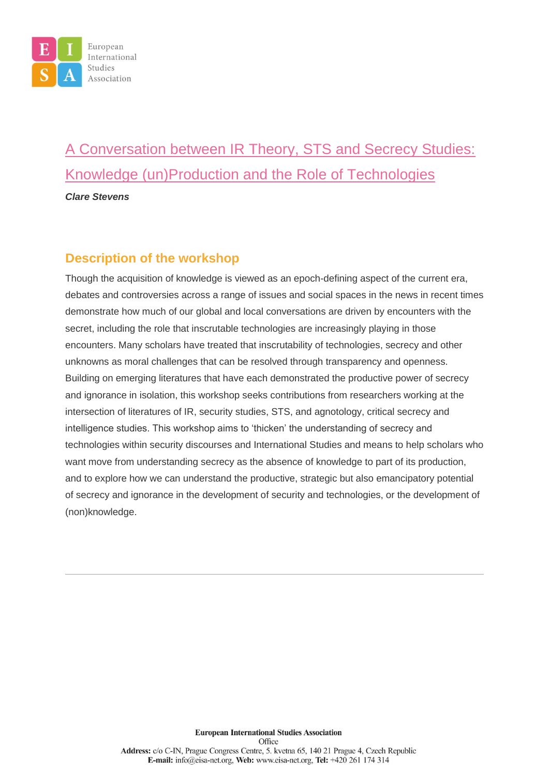

# [A Conversation between IR Theory, STS and Secrecy Studies:](https://eisa-net.org/wp-content/uploads/2021/08/ECRW-1_EISA-Secrecy-tech-Proposal.docx)  [Knowledge \(un\)Production and the Role of Technologies](https://eisa-net.org/wp-content/uploads/2021/08/ECRW-1_EISA-Secrecy-tech-Proposal.docx) *Clare Stevens*

#### **Description of the workshop**

Though the acquisition of knowledge is viewed as an epoch-defining aspect of the current era, debates and controversies across a range of issues and social spaces in the news in recent times demonstrate how much of our global and local conversations are driven by encounters with the secret, including the role that inscrutable technologies are increasingly playing in those encounters. Many scholars have treated that inscrutability of technologies, secrecy and other unknowns as moral challenges that can be resolved through transparency and openness. Building on emerging literatures that have each demonstrated the productive power of secrecy and ignorance in isolation, this workshop seeks contributions from researchers working at the intersection of literatures of IR, security studies, STS, and agnotology, critical secrecy and intelligence studies. This workshop aims to 'thicken' the understanding of secrecy and technologies within security discourses and International Studies and means to help scholars who want move from understanding secrecy as the absence of knowledge to part of its production, and to explore how we can understand the productive, strategic but also emancipatory potential of secrecy and ignorance in the development of security and technologies, or the development of (non)knowledge.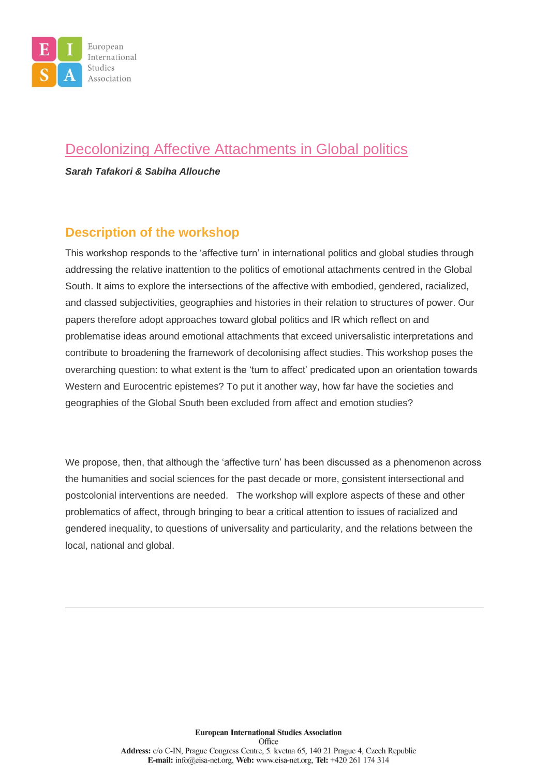

### [Decolonizing Affective Attachments in Global politics](https://eisa-net.org/wp-content/uploads/2021/08/EISA-ECW-2020-Decolonizin_postponed-2021-1.pdf)

*Sarah Tafakori & Sabiha Allouche*

#### **Description of the workshop**

This workshop responds to the 'affective turn' in international politics and global studies through addressing the relative inattention to the politics of emotional attachments centred in the Global South. It aims to explore the intersections of the affective with embodied, gendered, racialized, and classed subjectivities, geographies and histories in their relation to structures of power. Our papers therefore adopt approaches toward global politics and IR which reflect on and problematise ideas around emotional attachments that exceed universalistic interpretations and contribute to broadening the framework of decolonising affect studies. This workshop poses the overarching question: to what extent is the 'turn to affect' predicated upon an orientation towards Western and Eurocentric epistemes? To put it another way, how far have the societies and geographies of the Global South been excluded from affect and emotion studies?

We propose, then, that although the 'affective turn' has been discussed as a phenomenon across the humanities and social sciences for the past decade or more, consistent intersectional and postcolonial interventions are needed. The workshop will explore aspects of these and other problematics of affect, through bringing to bear a critical attention to issues of racialized and gendered inequality, to questions of universality and particularity, and the relations between the local, national and global.